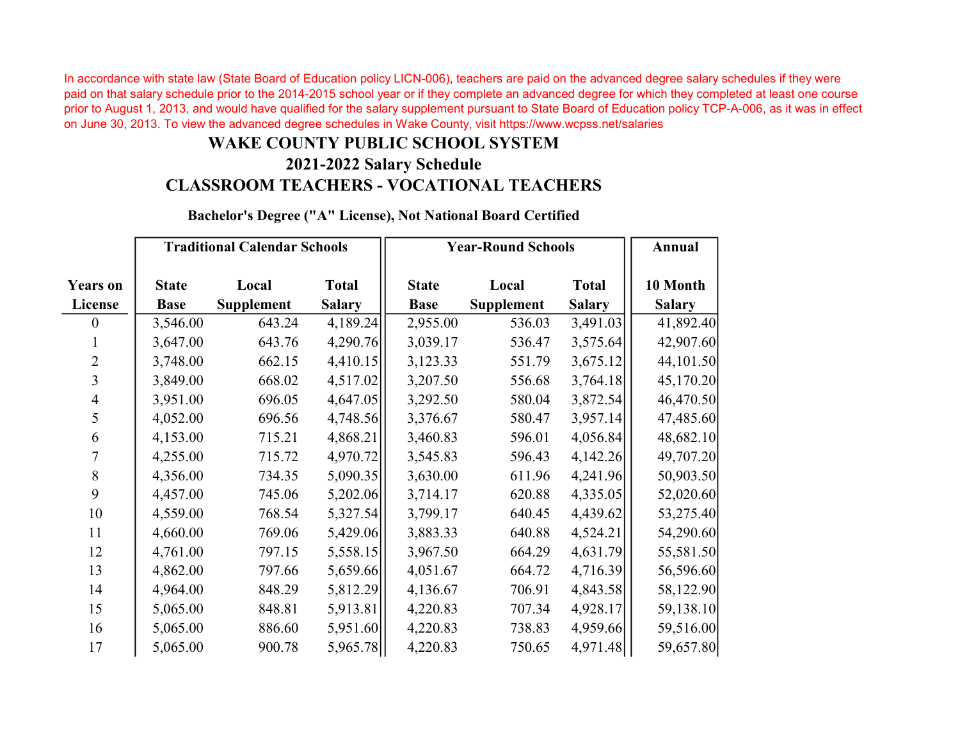In accordance with state law (State Board of Education policy LICN-006), teachers are paid on the advanced degree salary schedules if they were paid on that salary schedule prior to the 2014-2015 school year or if they complete an advanced degree for which they completed at least one course prior to August 1, 2013, and would have qualified for the salary supplement pursuant to State Board of Education policy TCP-A-006, as it was in effect on June 30, 2013. To view the advanced degree schedules in Wake County, visit https://www.wcpss.net/salaries

## WAKE COUNTY PUBLIC SCHOOL SYSTEM

## 2021-2022 Salary Schedule CLASSROOM TEACHERS - VOCATIONAL TEACHERS

| <b>Years on</b>  | <b>Traditional Calendar Schools</b> |                   |               | <b>Year-Round Schools</b> |                   |               | Annual        |  |
|------------------|-------------------------------------|-------------------|---------------|---------------------------|-------------------|---------------|---------------|--|
|                  | <b>State</b>                        | Local             | <b>Total</b>  | <b>State</b>              | Local             | <b>Total</b>  | 10 Month      |  |
| License          | <b>Base</b>                         | <b>Supplement</b> | <b>Salary</b> | <b>Base</b>               | <b>Supplement</b> | <b>Salary</b> | <b>Salary</b> |  |
| $\boldsymbol{0}$ | 3,546.00                            | 643.24            | 4,189.24      | 2,955.00                  | 536.03            | 3,491.03      | 41,892.40     |  |
| $\mathbf{1}$     | 3,647.00                            | 643.76            | 4,290.76      | 3,039.17                  | 536.47            | 3,575.64      | 42,907.60     |  |
| $\overline{2}$   | 3,748.00                            | 662.15            | 4,410.15      | 3,123.33                  | 551.79            | 3,675.12      | 44,101.50     |  |
| $\overline{3}$   | 3,849.00                            | 668.02            | 4,517.02      | 3,207.50                  | 556.68            | 3,764.18      | 45,170.20     |  |
| $\overline{4}$   | 3,951.00                            | 696.05            | 4,647.05      | 3,292.50                  | 580.04            | 3,872.54      | 46,470.50     |  |
| 5                | 4,052.00                            | 696.56            | 4,748.56      | 3,376.67                  | 580.47            | 3,957.14      | 47,485.60     |  |
| 6                | 4,153.00                            | 715.21            | 4,868.21      | 3,460.83                  | 596.01            | 4,056.84      | 48,682.10     |  |
| 7                | 4,255.00                            | 715.72            | 4,970.72      | 3,545.83                  | 596.43            | 4,142.26      | 49,707.20     |  |
| $\,8\,$          | 4,356.00                            | 734.35            | 5,090.35      | 3,630.00                  | 611.96            | 4,241.96      | 50,903.50     |  |
| 9                | 4,457.00                            | 745.06            | 5,202.06      | 3,714.17                  | 620.88            | 4,335.05      | 52,020.60     |  |
| 10               | 4,559.00                            | 768.54            | 5,327.54      | 3,799.17                  | 640.45            | 4,439.62      | 53,275.40     |  |
| 11               | 4,660.00                            | 769.06            | 5,429.06      | 3,883.33                  | 640.88            | 4,524.21      | 54,290.60     |  |
| 12               | 4,761.00                            | 797.15            | 5,558.15      | 3,967.50                  | 664.29            | 4,631.79      | 55,581.50     |  |
| 13               | 4,862.00                            | 797.66            | 5,659.66      | 4,051.67                  | 664.72            | 4,716.39      | 56,596.60     |  |
| 14               | 4,964.00                            | 848.29            | 5,812.29      | 4,136.67                  | 706.91            | 4,843.58      | 58,122.90     |  |
| 15               | 5,065.00                            | 848.81            | 5,913.81      | 4,220.83                  | 707.34            | 4,928.17      | 59,138.10     |  |
| 16               | 5,065.00                            | 886.60            | 5,951.60      | 4,220.83                  | 738.83            | 4,959.66      | 59,516.00     |  |
| 17               | 5,065.00                            | 900.78            | 5,965.78      | 4,220.83                  | 750.65            | 4,971.48      | 59,657.80     |  |

Bachelor's Degree ("A" License), Not National Board Certified